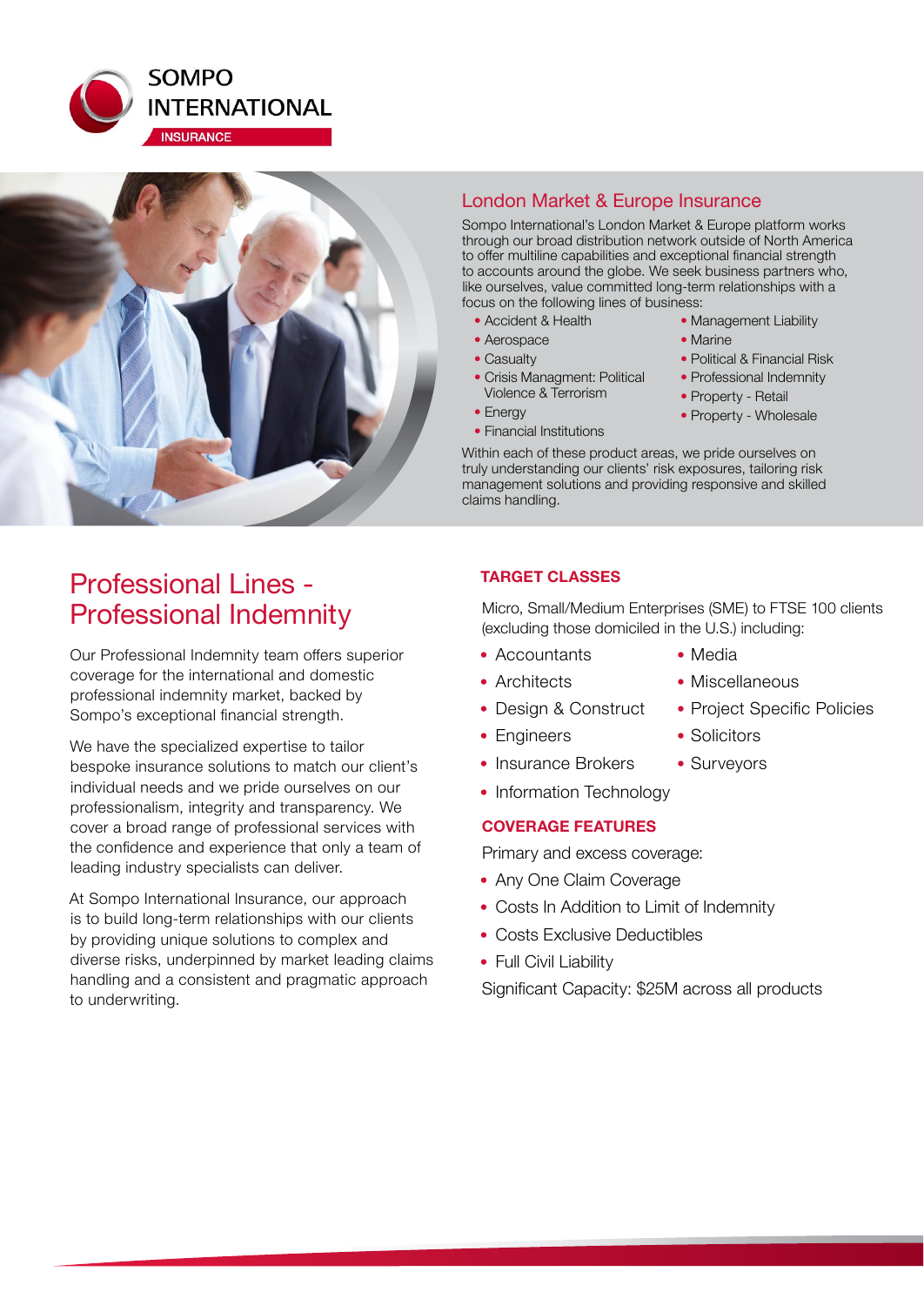



# London Market & Europe Insurance

Sompo International's London Market & Europe platform works through our broad distribution network outside of North America to offer multiline capabilities and exceptional financial strength to accounts around the globe. We seek business partners who, like ourselves, value committed long-term relationships with a focus on the following lines of business:

- Accident & Health
- Aerospace
- Casualty
- Crisis Managment: Political Violence & Terrorism
- Energy
- Financial Institutions
- Management Liability
- Marine
- Political & Financial Risk
- Professional Indemnity
- Property Retail
- Property Wholesale

Within each of these product areas, we pride ourselves on truly understanding our clients' risk exposures, tailoring risk management solutions and providing responsive and skilled claims handling.

# Professional Lines - Professional Indemnity

Our Professional Indemnity team offers superior coverage for the international and domestic professional indemnity market, backed by Sompo's exceptional financial strength.

We have the specialized expertise to tailor bespoke insurance solutions to match our client's individual needs and we pride ourselves on our professionalism, integrity and transparency. We cover a broad range of professional services with the confidence and experience that only a team of leading industry specialists can deliver.

At Sompo International Insurance, our approach is to build long-term relationships with our clients by providing unique solutions to complex and diverse risks, underpinned by market leading claims handling and a consistent and pragmatic approach to underwriting.

# **TARGET CLASSES**

Micro, Small/Medium Enterprises (SME) to FTSE 100 clients (excluding those domiciled in the U.S.) including:

- Accountants Media
	-
- Architects Miscellaneous
- 
- Engineers Solicitors
- Insurance Brokers Surveyors
- Information Technology

# **COVERAGE FEATURES**

Primary and excess coverage:

- Any One Claim Coverage
- Costs In Addition to Limit of Indemnity
- Costs Exclusive Deductibles
- Full Civil Liability

Significant Capacity: \$25M across all products

- Design & Construct Project Specific Policies
	-
	-
	-